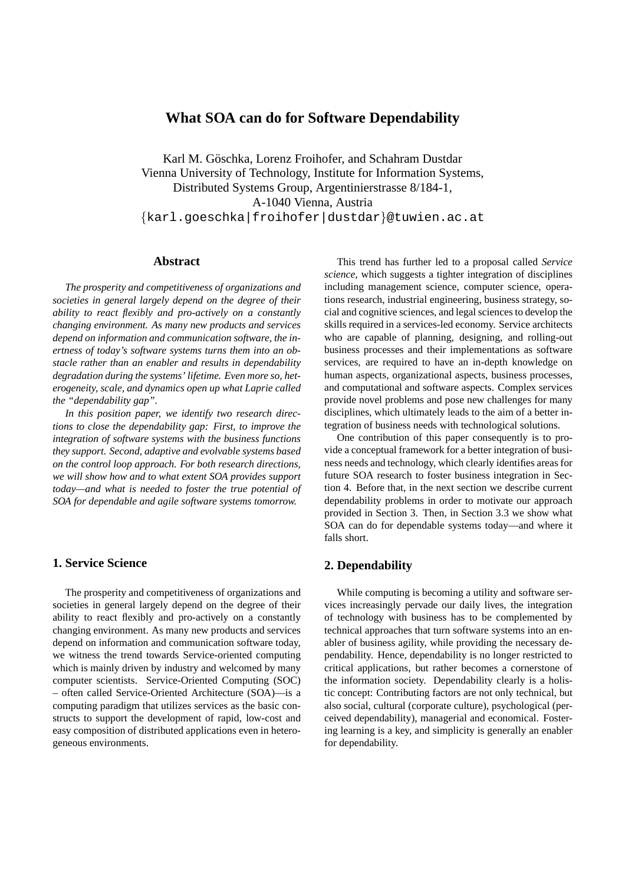# **What SOA can do for Software Dependability**

Karl M. Göschka, Lorenz Froihofer, and Schahram Dustdar Vienna University of Technology, Institute for Information Systems, Distributed Systems Group, Argentinierstrasse 8/184-1, A-1040 Vienna, Austria {karl.goeschka|froihofer|dustdar}@tuwien.ac.at

# **Abstract**

*The prosperity and competitiveness of organizations and societies in general largely depend on the degree of their ability to react flexibly and pro-actively on a constantly changing environment. As many new products and services depend on information and communication software, the inertness of today's software systems turns them into an obstacle rather than an enabler and results in dependability degradation during the systems' lifetime. Even more so, heterogeneity, scale, and dynamics open up what Laprie called the "dependability gap".*

*In this position paper, we identify two research directions to close the dependability gap: First, to improve the integration of software systems with the business functions they support. Second, adaptive and evolvable systems based on the control loop approach. For both research directions, we will show how and to what extent SOA provides support today—and what is needed to foster the true potential of SOA for dependable and agile software systems tomorrow.*

### **1. Service Science**

The prosperity and competitiveness of organizations and societies in general largely depend on the degree of their ability to react flexibly and pro-actively on a constantly changing environment. As many new products and services depend on information and communication software today, we witness the trend towards Service-oriented computing which is mainly driven by industry and welcomed by many computer scientists. Service-Oriented Computing (SOC) – often called Service-Oriented Architecture (SOA)—is a computing paradigm that utilizes services as the basic constructs to support the development of rapid, low-cost and easy composition of distributed applications even in heterogeneous environments.

This trend has further led to a proposal called *Service science*, which suggests a tighter integration of disciplines including management science, computer science, operations research, industrial engineering, business strategy, social and cognitive sciences, and legal sciences to develop the skills required in a services-led economy. Service architects who are capable of planning, designing, and rolling-out business processes and their implementations as software services, are required to have an in-depth knowledge on human aspects, organizational aspects, business processes, and computational and software aspects. Complex services provide novel problems and pose new challenges for many disciplines, which ultimately leads to the aim of a better integration of business needs with technological solutions.

One contribution of this paper consequently is to provide a conceptual framework for a better integration of business needs and technology, which clearly identifies areas for future SOA research to foster business integration in Section 4. Before that, in the next section we describe current dependability problems in order to motivate our approach provided in Section 3. Then, in Section 3.3 we show what SOA can do for dependable systems today—and where it falls short.

# **2. Dependability**

While computing is becoming a utility and software services increasingly pervade our daily lives, the integration of technology with business has to be complemented by technical approaches that turn software systems into an enabler of business agility, while providing the necessary dependability. Hence, dependability is no longer restricted to critical applications, but rather becomes a cornerstone of the information society. Dependability clearly is a holistic concept: Contributing factors are not only technical, but also social, cultural (corporate culture), psychological (perceived dependability), managerial and economical. Fostering learning is a key, and simplicity is generally an enabler for dependability.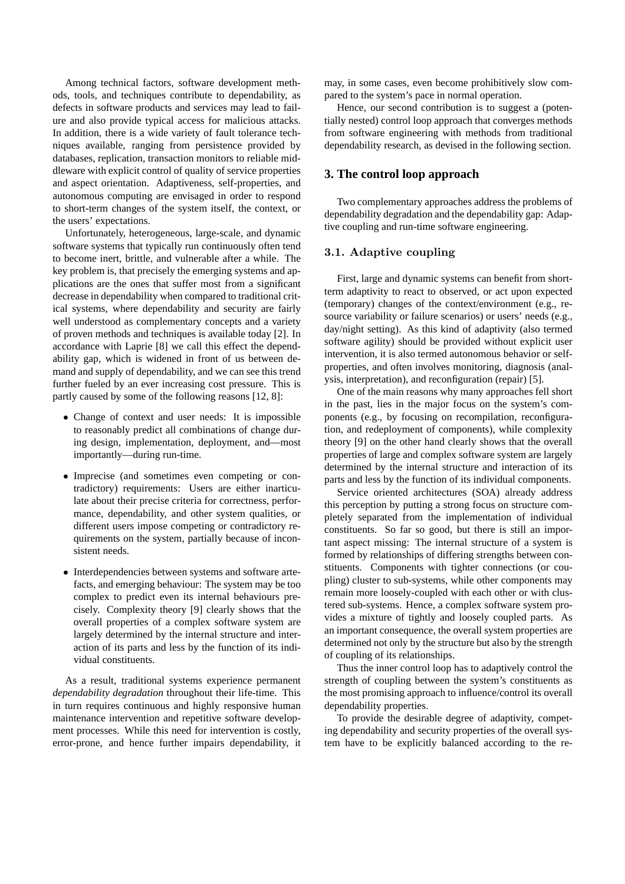Among technical factors, software development methods, tools, and techniques contribute to dependability, as defects in software products and services may lead to failure and also provide typical access for malicious attacks. In addition, there is a wide variety of fault tolerance techniques available, ranging from persistence provided by databases, replication, transaction monitors to reliable middleware with explicit control of quality of service properties and aspect orientation. Adaptiveness, self-properties, and autonomous computing are envisaged in order to respond to short-term changes of the system itself, the context, or the users' expectations.

Unfortunately, heterogeneous, large-scale, and dynamic software systems that typically run continuously often tend to become inert, brittle, and vulnerable after a while. The key problem is, that precisely the emerging systems and applications are the ones that suffer most from a significant decrease in dependability when compared to traditional critical systems, where dependability and security are fairly well understood as complementary concepts and a variety of proven methods and techniques is available today [2]. In accordance with Laprie [8] we call this effect the dependability gap, which is widened in front of us between demand and supply of dependability, and we can see this trend further fueled by an ever increasing cost pressure. This is partly caused by some of the following reasons [12, 8]:

- Change of context and user needs: It is impossible to reasonably predict all combinations of change during design, implementation, deployment, and—most importantly—during run-time.
- Imprecise (and sometimes even competing or contradictory) requirements: Users are either inarticulate about their precise criteria for correctness, performance, dependability, and other system qualities, or different users impose competing or contradictory requirements on the system, partially because of inconsistent needs.
- Interdependencies between systems and software artefacts, and emerging behaviour: The system may be too complex to predict even its internal behaviours precisely. Complexity theory [9] clearly shows that the overall properties of a complex software system are largely determined by the internal structure and interaction of its parts and less by the function of its individual constituents.

As a result, traditional systems experience permanent *dependability degradation* throughout their life-time. This in turn requires continuous and highly responsive human maintenance intervention and repetitive software development processes. While this need for intervention is costly, error-prone, and hence further impairs dependability, it may, in some cases, even become prohibitively slow compared to the system's pace in normal operation.

Hence, our second contribution is to suggest a (potentially nested) control loop approach that converges methods from software engineering with methods from traditional dependability research, as devised in the following section.

# **3. The control loop approach**

Two complementary approaches address the problems of dependability degradation and the dependability gap: Adaptive coupling and run-time software engineering.

#### 3.1. Adaptive coupling

First, large and dynamic systems can benefit from shortterm adaptivity to react to observed, or act upon expected (temporary) changes of the context/environment (e.g., resource variability or failure scenarios) or users' needs (e.g., day/night setting). As this kind of adaptivity (also termed software agility) should be provided without explicit user intervention, it is also termed autonomous behavior or selfproperties, and often involves monitoring, diagnosis (analysis, interpretation), and reconfiguration (repair) [5].

One of the main reasons why many approaches fell short in the past, lies in the major focus on the system's components (e.g., by focusing on recompilation, reconfiguration, and redeployment of components), while complexity theory [9] on the other hand clearly shows that the overall properties of large and complex software system are largely determined by the internal structure and interaction of its parts and less by the function of its individual components.

Service oriented architectures (SOA) already address this perception by putting a strong focus on structure completely separated from the implementation of individual constituents. So far so good, but there is still an important aspect missing: The internal structure of a system is formed by relationships of differing strengths between constituents. Components with tighter connections (or coupling) cluster to sub-systems, while other components may remain more loosely-coupled with each other or with clustered sub-systems. Hence, a complex software system provides a mixture of tightly and loosely coupled parts. As an important consequence, the overall system properties are determined not only by the structure but also by the strength of coupling of its relationships.

Thus the inner control loop has to adaptively control the strength of coupling between the system's constituents as the most promising approach to influence/control its overall dependability properties.

To provide the desirable degree of adaptivity, competing dependability and security properties of the overall system have to be explicitly balanced according to the re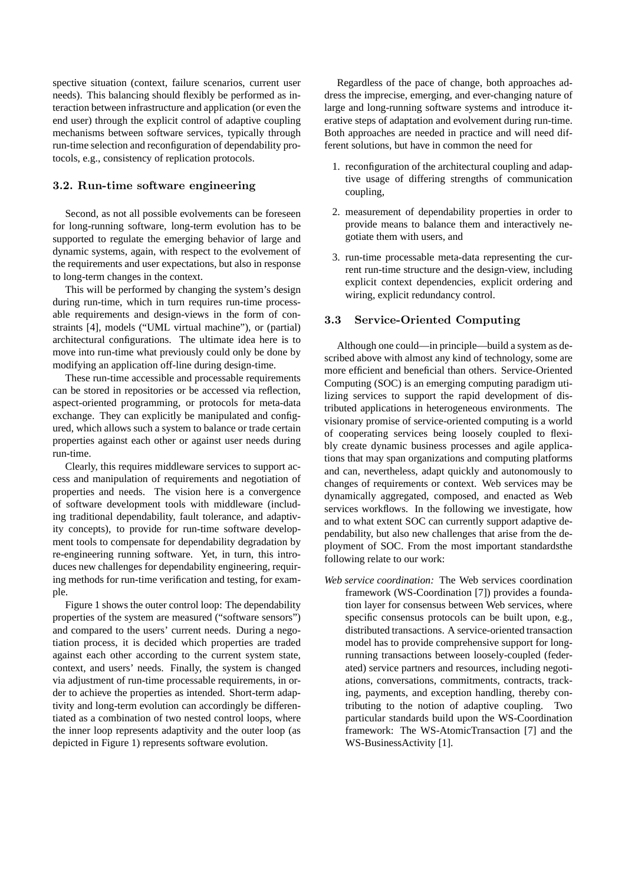spective situation (context, failure scenarios, current user needs). This balancing should flexibly be performed as interaction between infrastructure and application (or even the end user) through the explicit control of adaptive coupling mechanisms between software services, typically through run-time selection and reconfiguration of dependability protocols, e.g., consistency of replication protocols.

### 3.2. Run-time software engineering

Second, as not all possible evolvements can be foreseen for long-running software, long-term evolution has to be supported to regulate the emerging behavior of large and dynamic systems, again, with respect to the evolvement of the requirements and user expectations, but also in response to long-term changes in the context.

This will be performed by changing the system's design during run-time, which in turn requires run-time processable requirements and design-views in the form of constraints [4], models ("UML virtual machine"), or (partial) architectural configurations. The ultimate idea here is to move into run-time what previously could only be done by modifying an application off-line during design-time.

These run-time accessible and processable requirements can be stored in repositories or be accessed via reflection, aspect-oriented programming, or protocols for meta-data exchange. They can explicitly be manipulated and configured, which allows such a system to balance or trade certain properties against each other or against user needs during run-time.

Clearly, this requires middleware services to support access and manipulation of requirements and negotiation of properties and needs. The vision here is a convergence of software development tools with middleware (including traditional dependability, fault tolerance, and adaptivity concepts), to provide for run-time software development tools to compensate for dependability degradation by re-engineering running software. Yet, in turn, this introduces new challenges for dependability engineering, requiring methods for run-time verification and testing, for example.

Figure 1 shows the outer control loop: The dependability properties of the system are measured ("software sensors") and compared to the users' current needs. During a negotiation process, it is decided which properties are traded against each other according to the current system state, context, and users' needs. Finally, the system is changed via adjustment of run-time processable requirements, in order to achieve the properties as intended. Short-term adaptivity and long-term evolution can accordingly be differentiated as a combination of two nested control loops, where the inner loop represents adaptivity and the outer loop (as depicted in Figure 1) represents software evolution.

Regardless of the pace of change, both approaches address the imprecise, emerging, and ever-changing nature of large and long-running software systems and introduce iterative steps of adaptation and evolvement during run-time. Both approaches are needed in practice and will need different solutions, but have in common the need for

- 1. reconfiguration of the architectural coupling and adaptive usage of differing strengths of communication coupling,
- 2. measurement of dependability properties in order to provide means to balance them and interactively negotiate them with users, and
- 3. run-time processable meta-data representing the current run-time structure and the design-view, including explicit context dependencies, explicit ordering and wiring, explicit redundancy control.

#### 3.3 Service-Oriented Computing

Although one could—in principle—build a system as described above with almost any kind of technology, some are more efficient and beneficial than others. Service-Oriented Computing (SOC) is an emerging computing paradigm utilizing services to support the rapid development of distributed applications in heterogeneous environments. The visionary promise of service-oriented computing is a world of cooperating services being loosely coupled to flexibly create dynamic business processes and agile applications that may span organizations and computing platforms and can, nevertheless, adapt quickly and autonomously to changes of requirements or context. Web services may be dynamically aggregated, composed, and enacted as Web services workflows. In the following we investigate, how and to what extent SOC can currently support adaptive dependability, but also new challenges that arise from the deployment of SOC. From the most important standardsthe following relate to our work:

*Web service coordination:* The Web services coordination framework (WS-Coordination [7]) provides a foundation layer for consensus between Web services, where specific consensus protocols can be built upon, e.g., distributed transactions. A service-oriented transaction model has to provide comprehensive support for longrunning transactions between loosely-coupled (federated) service partners and resources, including negotiations, conversations, commitments, contracts, tracking, payments, and exception handling, thereby contributing to the notion of adaptive coupling. Two particular standards build upon the WS-Coordination framework: The WS-AtomicTransaction [7] and the WS-BusinessActivity [1].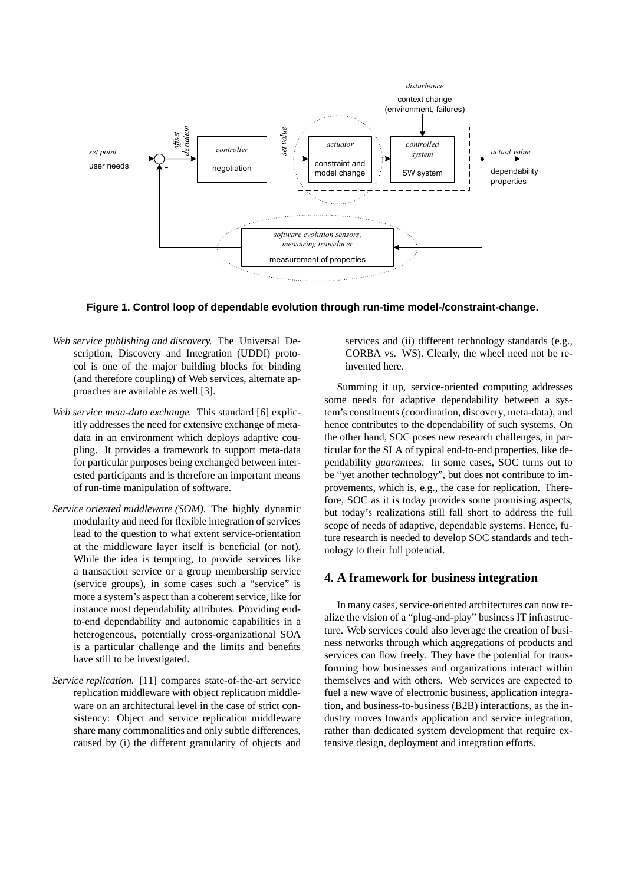

**Figure 1. Control loop of dependable evolution through run-time model-/constraint-change.**

- *Web service publishing and discovery.* The Universal Description, Discovery and Integration (UDDI) protocol is one of the major building blocks for binding (and therefore coupling) of Web services, alternate approaches are available as well [3].
- *Web service meta-data exchange.* This standard [6] explicitly addresses the need for extensive exchange of metadata in an environment which deploys adaptive coupling. It provides a framework to support meta-data for particular purposes being exchanged between interested participants and is therefore an important means of run-time manipulation of software.
- *Service oriented middleware (SOM).* The highly dynamic modularity and need for flexible integration of services lead to the question to what extent service-orientation at the middleware layer itself is beneficial (or not). While the idea is tempting, to provide services like a transaction service or a group membership service (service groups), in some cases such a "service" is more a system's aspect than a coherent service, like for instance most dependability attributes. Providing endto-end dependability and autonomic capabilities in a heterogeneous, potentially cross-organizational SOA is a particular challenge and the limits and benefits have still to be investigated.
- *Service replication.* [11] compares state-of-the-art service replication middleware with object replication middleware on an architectural level in the case of strict consistency: Object and service replication middleware share many commonalities and only subtle differences, caused by (i) the different granularity of objects and

services and (ii) different technology standards (e.g., CORBA vs. WS). Clearly, the wheel need not be reinvented here.

Summing it up, service-oriented computing addresses some needs for adaptive dependability between a system's constituents (coordination, discovery, meta-data), and hence contributes to the dependability of such systems. On the other hand, SOC poses new research challenges, in particular for the SLA of typical end-to-end properties, like dependability *guarantees*. In some cases, SOC turns out to be "yet another technology", but does not contribute to improvements, which is, e.g., the case for replication. Therefore, SOC as it is today provides some promising aspects, but today's realizations still fall short to address the full scope of needs of adaptive, dependable systems. Hence, future research is needed to develop SOC standards and technology to their full potential.

#### **4. A framework for business integration**

In many cases, service-oriented architectures can now realize the vision of a "plug-and-play" business IT infrastructure. Web services could also leverage the creation of business networks through which aggregations of products and services can flow freely. They have the potential for transforming how businesses and organizations interact within themselves and with others. Web services are expected to fuel a new wave of electronic business, application integration, and business-to-business (B2B) interactions, as the industry moves towards application and service integration, rather than dedicated system development that require extensive design, deployment and integration efforts.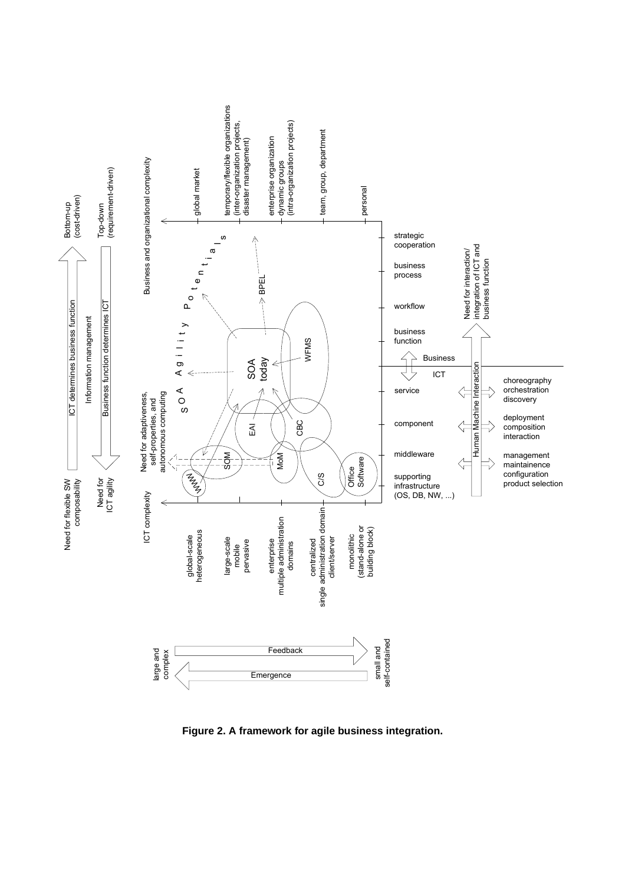

**Figure 2. A framework for agile business integration.**